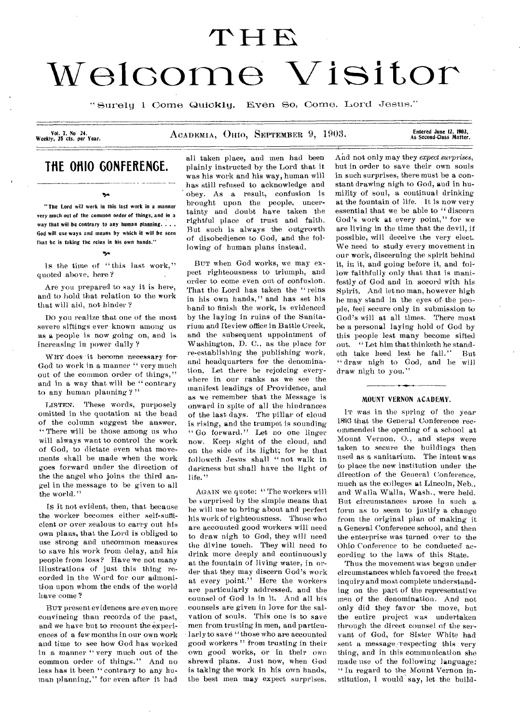# THE<br>Welcome Visitor

"Surely 1 Come Quickly. Even So, Come, Lord Jesus."

Vol. 7, No 24.<br>Weekly, 25 cts. per Year.

ACADEMIA, OHIO, SEPTEMBER 9, 1903.

## Entered June 12, 1903,<br>As Second-Class Matter.

# **THE OHIO GONFERENGE.**

 $\mathbf{v}_\mathbf{A}$ 

"The Lord will work in this last work in a manner very much out of the common order of things, and in a way that will be contrary to any human planning. . . . fiod will use ways and means by which it will be seen that he is taking the reins in his own hands."

#### *"so*

Is the time of "this last work," quoted above, here?

Are you prepared to say it is here, and to hold that relation to the work that will aid, not hinder ?

Do you realize that one of the most severe siftings ever known among us as a people is now going on, and is increasing in power daily ?

WHY does it become necessary for-God to work in a manner " very much out of the common order of things," and in a way that will be " contrary to any human planning ?"

LISTEN. These words, purposely omitted in the quotation at the head of the column suggest the answer, " There will be those among us who will always want to control the work of God, to dictate even what movements shall be made when the work goes forward under the direction of the the angel who joins the third angel in the message to be given to all the world."

Ts it not evident, then, that because the worker becomes either self-sufficient or over zealous to carry out his own plans, that the Lord is obliged to use strong and uncommon measures to save his work from delay, and his people from loss? Have we not many illustrations of just this thing recorded in the Word for our admonition upon whom the ends of the world have come ?

BUT present evidences are even more convincing than records of the past, and we have but to recount the experiences of a few months in our own work and time to see how God has worked in a manner " very much out of the common order of things." And no less has it been " contrary to any human planning," for even after it had

all taken place, and men had been plainly instructed by the Lord that it was his work and his way, human will has still refused to acknowledge and obey. As a result, confusion is brought upon the people, uncertainty and doubt have taken the rightful place of trust and faith. But such is always the outgrowth of disobedience to God, and the following of human plans instead.

BUT when God works, we may expect righteousness to triumph, and order to come even out of confusion. That the Lord has taken the "reins in his own hands," and has set his hand to finish the work, is evidenced by the laying in ruins of the Sanitarium and Review office in Battle Creek, and the subsequent appointment of Washington, D. C., as the place for re-establishing the publishing work, and headquarters for the denomination. Let there be rejoicing everywhere in our ranks as we see the manifest leadings of Providence, and as we remember that the Message is onward in spite of all the hindrances of the last days. The pillar of cloud is rising, and the trumpet is sounding " Go forward." Let no one linger now. Keep sight of the cloud, and on the side of its light; for he that followeth Jesus shall " not walk in darkness but shall have the light of life."

AGAIN we quote: " The workers will be surprised by the simple means that he will use to bring about and perfect his work of righteousness. Those who are accounted good workers will need to draw nigh to God, they will need the divine touch. They will need to drink more deeply and continuously at the fountain of living water, in order that they may discern God's work at every point." Here the workers are particularly addressed, and the counsel of God is in it. And all his counsels are given in love for the salvation of souls. This one is to save men from trusting in men, and particularly to save "those who are accounted good workers " from trusting in their own good works, or in their own shrewd plans. Just now, when God is taking the work in his own hands, the best men may expect surprises.

And not only may they *expect surprises,*  but in order to save their own souls in such surprises, there must be a constant drawing nigh to God, and in humility of soul, a continual drinking at the fountain of life. 1t is now very essential that we be able to "discern God's work at every point," for we are living in the time that the devil, if possible, will deceive the very elect. We need to study every movement in our work, discerning the spirit behind it, in it, and going before it, and follow faithfully only that that is manifestly of God and in accord with his Spirit. And let no man, however high he may stand in the eyes of. the people, feel secure only in submission to God's will at all times. There must be a personal laying hold of God by this people lest many become sifted out. " Let him that thinketh he standeth take heed lest he fall." But " draw nigh to God, and he will draw nigh to you."

#### MOUNT VERNON ACADEMY.

IT was in the spring of the year 1893 that the General Conference recommended the opening of a school at Mount Vernon, 0., and steps were taken to secure the buildings then used as a sanitarium. The intent was to place the new institution under the direction of the General Conference, much as the colleges at Lincoln, Neb., and Walla Walla, Wash., were held. But circumstances arose in such a form as to seem to justify a change from the original plan of making it a General Conference school, and then the enterprise was turned over to the Ohio Conference to be conducted according to the laws of this State.

Thus the movement was begun under circumstances which favored the freest inquiry and most complete understanding on the part of the representative men of the denomination. And not only did they favor the move, but the entire project was undertaken through the direct counsel of the servant of God, for Sister White had sent a message respecting this very thing, and in this communication she made use of the following language: " In regard to the Mount Vernon institution, I would say, let the build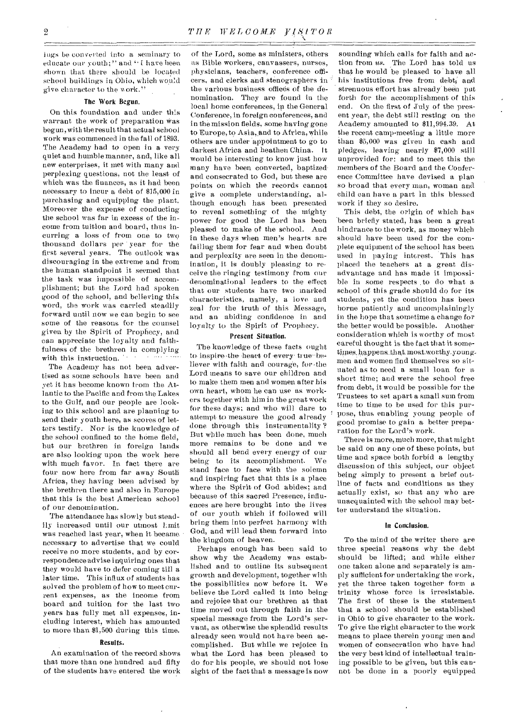lugs be converted into a seminary to educate our youth:" and • I have been shown that there should be located school buildings in Ohio, which would give character to the work."

#### The Work Begun.

On this foundation and under this warrant the work of preparation was begun, with theresult that actual school work was commenced in the fall of 1893. The Academy had to open in a very quiet and humble manner, and, like all new enterprises, it met with many and perplexing questions, not the least of which was the finances, as it had been necessary to incur a debt of \$15,000 in purchasing and equipping the plant. Moreover the expense of conducting the school was far in excess of the income from tuition and board, thus incurring a loss of from one to two thousand dollars per year for the first several years. The outlook was discouraging in the extreme and from the human standpoint it seemed that the task was impossible of accomplishment; but the Lord had spoken good of the school, and believing this word, the work was carried steadily forward until now we can begin to see some of the reasons for the counsel given by the Spirit of Prophecy, and can appreciate the loyalty and faithfulness of the brethren in complying with this instruction.

The Academy has not been advertised as some schools have been and vet it has become known from the Atlantic to the Pacific and from the Lakes to the Gulf, and our people are looking to this school and are planning to send their youth here, as scores of letters testify. Nor is the knowledge of the school confined to the home field, but our brethren in foreign lands are also looking upon the work here with much favor. In fact there are four now here from far away South Africa, they having been advised by the brethren there and also in Europe that this is the best American school of our denomination.

The attendance has slowly but steadily increased until our utmost limit was reached last year, when it became necessary to advertise that we could receive no more students, and by correspondence advise inquiring ones that they would have to defer coming till a later time. This influx of students has solved the problem of how to meet current expenses, as the income from board and tuition for the last two years has fully met all expenses, including interest, which has amounted to more than \$1,500 during this time.

#### Results.

An examination of the record shows that more than one hundred and fifty of the students have entered the work

of the Lord, some as ministers, others as Bible workers, canvassers, nurses, physicians, teachers, conference officers, and clerks and stenographers in the various business offices of the denomination. They are found in the local home conferences, in the General Conference, in foreign conferences, and in the mission fields, some having gone to Europe, to Asia, and to Africa, while others are under appointment to go to darkest Africa and heathen China. It would be interesting to know just how many have been converted, baptized and consecrated to God, but these are points on which the records cannot give a complete understanding, although enough has been presented to reveal something of the mighty power for good the Lord has been pleased to make of the school. And in these days when men's hearts are failing them for fear and when doubt and perplexity are seen in the denomination, it is doubly pleasing to receive the ringing testimony from our denominational leaders to the effect that our students have two marked characteristics, namely, a love and zeal for the truth of this Message, and an abiding confidence in and loyalty to the Spirit of Prophecy.

#### Present Situation.

The knowledge of these facts ought to inspire the heart of every true-believer with faith and courage, for the Lord means to save our children and to make them men and women after his own heart, whom he can use as workers together with him in the great work for these days; and who will dare to attempt to measure the good already done through this instrumentality ? But while much has been done, much more remains to be done and we should all bend every energy of our being to its accomplishment. We stand face to face with the solemn and inspiring fact that this is a place where the Spirit of God abides; and because of this sacred Presence, influences are here brought into the lives of our youth which if followed will bring them into perfect harmony with God, and will lead them forward into the kingdom of heaven.

Perhaps enough has been said to show why the Academy was established and to outline its subsequent growth and development, together with the possibilities now before it. We believe the Lord called it into being and rejoice that our brethren at that time moved out through faith in .the special message from the Lord's servant, as otherwise the splendid results already seen would not have been accomplished. But while we rejoice in what the Lord has been pleased to do for his people, we should not lose sight of the fact that a message is now

sounding which calls for faith and action from *us.* The Lord has told us that he would be pleased to have all his institutions free from debt, and strenuous effort has already. been put forth for the accomplishment of this end. On the first of July of the present year, the debt still resting on the Academy amounted to \$11,994.39. At the recent camp-meeting a little more than \$5,000 was given in cash and pledges, leaving nearly \$7,000 still unprovided for: and to meet this the members of the Board and the Conference Committee have devised a plan so broad that every man, woman and child can have a part in this blessed work if they so desire.

This debt, the origin of which has been briefly stated, has been a great hindrance to the work, as money which should have been used for the complete equipment of the school has been used in paying interest. This has placed the teachers at a great disadvantage and has made it impossible in some respects to do what a school of- this grade should do for its students, yet the condition has been borne patiently and uncomplainingly in the hope that sometime a change for the better would be possible. Another consideration which is worthy of most careful thought is the fact that it sometimes happens that most worthy youngmen and women find themselves so situated as to need a small loan for a short time; and were the school free from debt, it would be possible for the Trustees to set apart a small sum from time to time to be used for this purpose, thus enabling young people of good promise to gain a better preparation for the Lord's work.

There is more, much more, that might be said on any one of these points, but time and space both forbid a lengthy discussion of this subject, our object being simply to present a brief outline of facts and conditions as they actually exist, so that any who are unacquainted with the school may better understand the situation.

#### In Conclusion.

To-the mind of the writer there are three special reasons why the debt should be lifted; and while either one taken alone and separately is amply sufficient for undertaking the work, yet the three taken together form a trinity whose force is irresistable. The first of these is the statement that a school should be established in Ohio to give character to the work. To give the right character to the work means to place therein young men and women of consecration who have had the very best kind of intellectual training possible to be given, but this cannot be done in a poorly equipped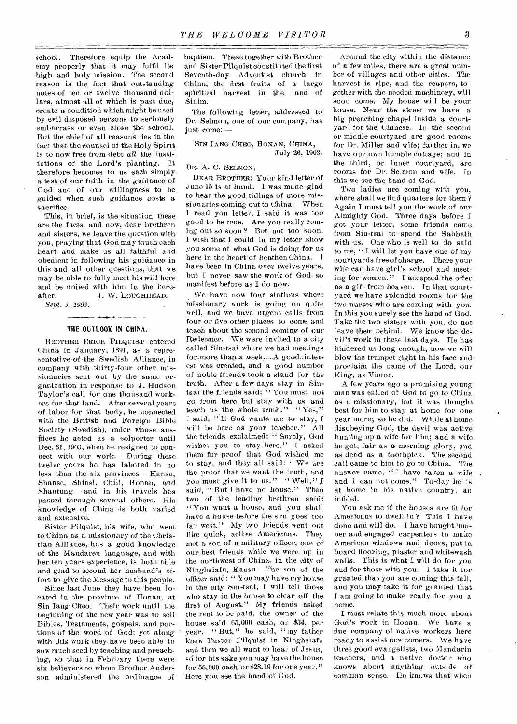school. Therefore equip the Academy properly that it may fulfil its high and holy mission. The second reason is the fact that outstanding notes of ten or twelve thousand dollars, almost all of which is past due, create a condition which might be used by evil disposed persons to seriously embarrass or even close the school. But the chief of all reasons lies in the fact that the counsel of the Holy Spirit is to now free from debt *all* the institutions of the Lord's planting. It therefore becomes to us each simply a test of our faith in the guidance of God and of our willingness to be guided when such guidance costs a sacrifice.

This, in brief, is the situation, these are the facts, and now, dear brethren and sisters, we leave the question with you, praying that God may touch each heart and make us all faithful and obedient in following his guidance in this and all other questions, that we may be able to fully meet his will here and be united with him in the hereafter. J. W. LOUGHHEAD.

*Sept. 3, 1903.* 

### THE OUTLOOK IN CHINA.

BROTHER ERICH PILQUIST entered China in January, 1891, as a representative of the Swedish Alliance, in company with thirty-four other missionaries sent out by the same organization in response to J. Hudson Taylor's call for one thousand workers for that land. After several years of labor for that body, he connected with the British and Foreign Bible Society ( Swedish), under whose auspices he acted as a colporter until Dec. 31, 1903, when he resigned to connect with our work. During these twelve years he has labored in no less than the six provinces — Kansu, Shanse, Shinsi, Chili, Honan, and Shantung — and in his travels has passed through several others. His knowledge of China is both varied and extensive.

Sister Pilquist, his wife, who went to China as a missionary of the Christian Alliance, has a good knowledge of the Mandaren language, and with her ten years experience, is both able and glad to second her husband's effort to give the Message to this people.

Since last June they have been located in the province of Honan, at Sin Tang Gheo. Their work until the beginning of the new year was to sell Bibles, Testaments, gospels, and portions of the word of God; yet along with this work they. have been able to sow much seed by teaching and preaching, so that in February there were six believers to whom Brother Anderson administered the ordinance of

baptism. These together with Brother and Sister Pilquist constituted the first Seventh-day Adventist church in China, the first fruits of a large spiritual harvest in the land of Sinim.

The following letter, addressed to Dr. Selmon, one of our company, has just come: --

SIN TANG CHEO, HONAN, CHINA, July 26, 1903.

#### DR. A. C. SELMON,

DEAR BROTHER: Your kind letter of June 15 is at hand. I was made glad to hear the good tidings of more missionaries coming out to China. When I read you letter, I said it was too good to be true. Are you really coming out so soon ? But not too soon. I wish that I could in my letter .show you some of what God is doing for us here in the heart of heathen China. I have been in China over twelve years, but I never saw the work of God so manifest before as I do now.

We have now four stations where missionary work is going on quite well, and we have urgent calls from four or five other places to come and teach about the second coming of our Redeemer. We were invited to a city called Sin-tsai where we had meetings for-more than a week. A good interest was created, and a good number of noble friends took a stand for the truth. After a few days stay in Sintsai the friends said: " You must not go from here but stay with us and teach us the whole truth." "Yes," I said, " If God wants me to stay, I will be here as your teacher." All the friends exclaimed: " Surely, God wishes you to stay here." I asked them for proof that God wished me to stay, and they all said: " We are the proof that we want the truth, and you must give it to us." "Well," I said, "But I have no house." Then two of the leading brethren saidi " You want a house, and you shall have a house before the sun goes too far west." My two friends went out like quick, active Americans. They met a son of a military officer, one of our best friends while we were up in the northwest of China, in the city of Ninghsiafu, Kansu. The son of the officer said: " You may have my house in the city Sin-tsai, C will tell those who stay in the house to clear off the first of August." My friends asked the rent to be paid, the owner of the house said  $65,000$  cash, or \$34, per year. " But," he said, " my father knew Pastor Pilquist in Ninghsiafu and then we all want to hear of Jesus, so for his sake you may have the house for 55,000 cash or \$28.19 for one year," Here you see the hand of God.

Around the city within the distance of a few miles, there are a great number of villages and other cities. The harvest is ripe, and the reapers, together with the needed machinery, will soon come. My house will be your house. Near the street we have a big preaching chapel inside a courtyard for the Chinese. In the second or middle courtyard are good rooms for Dr. Miller and wife; farther in, we have our own humble cottage; and in the third, or inner courtyard, are rooms for Dr. Selmon and wife. In this we see the hand of God.

Two ladies are coming with you, where shall we find quarters for them? Again I must tell you the work of our Almighty God. Three days before I got your letter, some friends came from Sin-tsai to spend the Sabbath with us. One who is well to do said to me, " I will let you have one of my courtyards free of charge. There your wife can have girl's school and meeting for women." I accepted the offer as a gift from heaven. In that courtyard we have splendid rooms for the two nurses who are coming with you. In this you surely see the hand of God. Take the two sisters with you, do not leave them behind. We know the devil's work in these last days. He has hindered us long enough, now we will blow the trumpet right in his face andproclaim the name of the Lord, our King, as Victor.

A few years ago a promising young man was called of God to go to China as a missionary, but it was thought best for him to stay at home for one year more; so he did. While at home disobeying God, the devil was active hunting up a wife for him; and a wife he got, fair as a morning glory, and as dead as a toothpick. The second call came to him to go to China. The answer came, " I have taken a wife and 1 can not come." To-day he is at home in his native country, an infidel.

You ask me if the houses are fit for Americans to dwell in? This I have done and will do,—I have bought lumber and engaged carpenters to make American windows and doors, put in board flooring, plaster and whitewash walls. This is what I will do for you and for those with you. I take it for granted that you are coming this fall, and you may take it for granted that I am going to make ready for you a home.

I must relate this much more about God's work in Honan. We have a fine company of native workers here ready to assist new comers. We have three good evangelists, two Mandarin teachers, and a native doctor who knows about anything outside of common sense. He knows that when